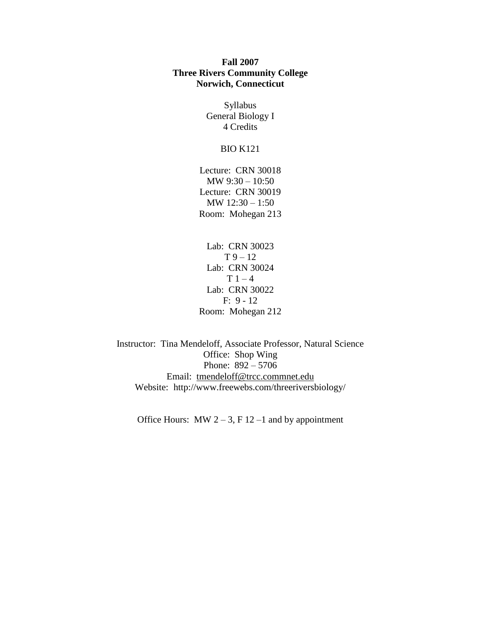## **Fall 2007 Three Rivers Community College Norwich, Connecticut**

Syllabus General Biology I 4 Credits

## BIO K121

Lecture: CRN 30018 MW 9:30 – 10:50 Lecture: CRN 30019 MW 12:30 – 1:50 Room: Mohegan 213

Lab: CRN 30023  $T 9 - 12$ Lab: CRN 30024  $T 1 - 4$ Lab: CRN 30022 F: 9 - 12 Room: Mohegan 212

Instructor: Tina Mendeloff, Associate Professor, Natural Science Office: Shop Wing Phone: 892 – 5706 Email: [tmendeloff@trcc.commnet.edu](mailto:tmendeloff@trcc.commnet.edu) Website: http://www.freewebs.com/threeriversbiology/

Office Hours: MW  $2 - 3$ , F  $12 - 1$  and by appointment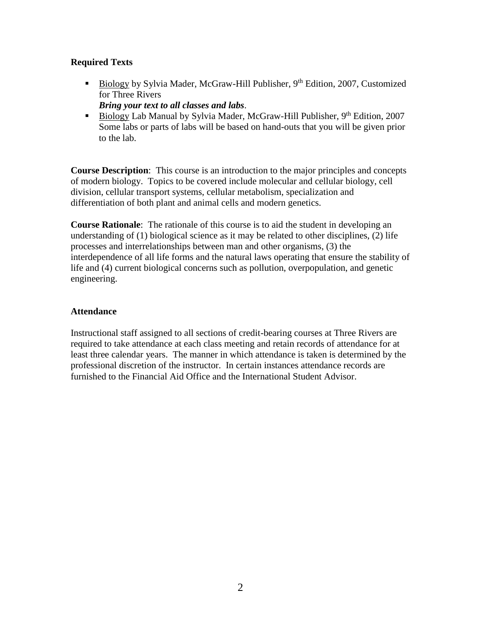# **Required Texts**

- Biology by Sylvia Mader, McGraw-Hill Publisher,  $9<sup>th</sup>$  Edition, 2007, Customized for Three Rivers *Bring your text to all classes and labs*.
- Biology Lab Manual by Sylvia Mader, McGraw-Hill Publisher,  $9<sup>th</sup>$  Edition, 2007 Some labs or parts of labs will be based on hand-outs that you will be given prior to the lab.

**Course Description**: This course is an introduction to the major principles and concepts of modern biology. Topics to be covered include molecular and cellular biology, cell division, cellular transport systems, cellular metabolism, specialization and differentiation of both plant and animal cells and modern genetics.

**Course Rationale**: The rationale of this course is to aid the student in developing an understanding of (1) biological science as it may be related to other disciplines, (2) life processes and interrelationships between man and other organisms, (3) the interdependence of all life forms and the natural laws operating that ensure the stability of life and (4) current biological concerns such as pollution, overpopulation, and genetic engineering.

## **Attendance**

Instructional staff assigned to all sections of credit-bearing courses at Three Rivers are required to take attendance at each class meeting and retain records of attendance for at least three calendar years. The manner in which attendance is taken is determined by the professional discretion of the instructor. In certain instances attendance records are furnished to the Financial Aid Office and the International Student Advisor.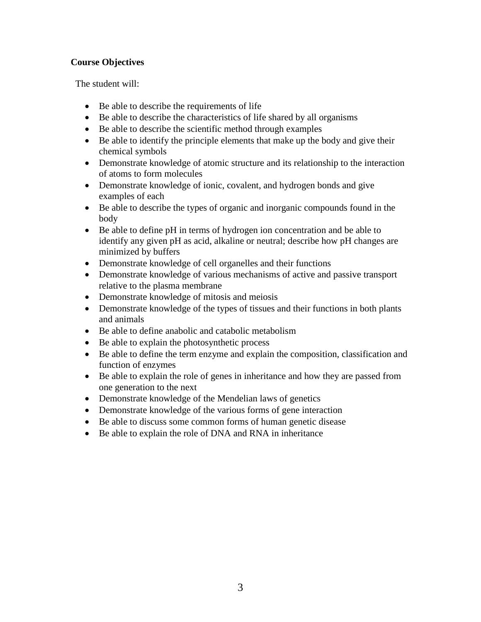# **Course Objectives**

The student will:

- Be able to describe the requirements of life
- Be able to describe the characteristics of life shared by all organisms
- Be able to describe the scientific method through examples
- Be able to identify the principle elements that make up the body and give their chemical symbols
- Demonstrate knowledge of atomic structure and its relationship to the interaction of atoms to form molecules
- Demonstrate knowledge of ionic, covalent, and hydrogen bonds and give examples of each
- Be able to describe the types of organic and inorganic compounds found in the body
- Be able to define pH in terms of hydrogen ion concentration and be able to identify any given pH as acid, alkaline or neutral; describe how pH changes are minimized by buffers
- Demonstrate knowledge of cell organelles and their functions
- Demonstrate knowledge of various mechanisms of active and passive transport relative to the plasma membrane
- Demonstrate knowledge of mitosis and meiosis
- Demonstrate knowledge of the types of tissues and their functions in both plants and animals
- Be able to define anabolic and catabolic metabolism
- Be able to explain the photosynthetic process
- Be able to define the term enzyme and explain the composition, classification and function of enzymes
- Be able to explain the role of genes in inheritance and how they are passed from one generation to the next
- Demonstrate knowledge of the Mendelian laws of genetics
- Demonstrate knowledge of the various forms of gene interaction
- Be able to discuss some common forms of human genetic disease
- Be able to explain the role of DNA and RNA in inheritance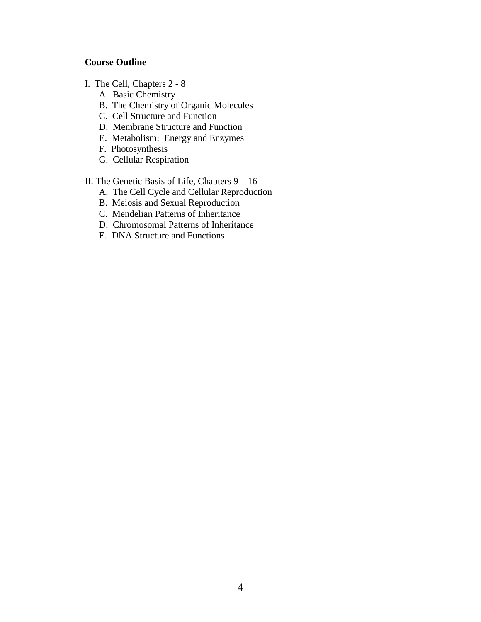## **Course Outline**

- I. The Cell, Chapters 2 8
	- A. Basic Chemistry
	- B. The Chemistry of Organic Molecules
	- C. Cell Structure and Function
	- D. Membrane Structure and Function
	- E. Metabolism: Energy and Enzymes
	- F. Photosynthesis
	- G. Cellular Respiration
- II. The Genetic Basis of Life, Chapters 9 16
	- A. The Cell Cycle and Cellular Reproduction
	- B. Meiosis and Sexual Reproduction
	- C. Mendelian Patterns of Inheritance
	- D. Chromosomal Patterns of Inheritance
	- E. DNA Structure and Functions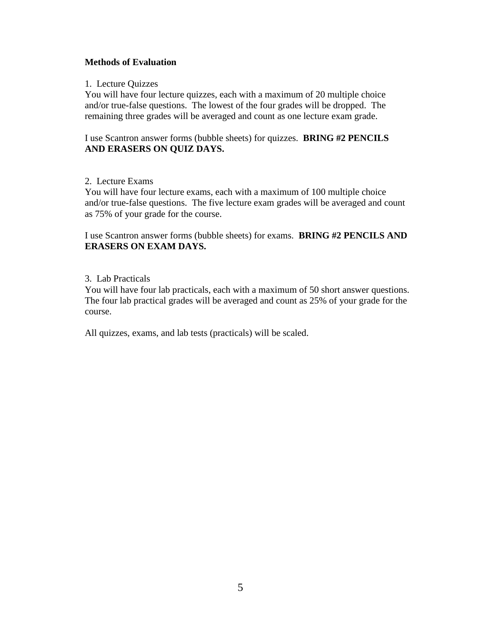## **Methods of Evaluation**

#### 1. Lecture Quizzes

You will have four lecture quizzes, each with a maximum of 20 multiple choice and/or true-false questions. The lowest of the four grades will be dropped. The remaining three grades will be averaged and count as one lecture exam grade.

I use Scantron answer forms (bubble sheets) for quizzes. **BRING #2 PENCILS AND ERASERS ON QUIZ DAYS.**

## 2. Lecture Exams

You will have four lecture exams, each with a maximum of 100 multiple choice and/or true-false questions. The five lecture exam grades will be averaged and count as 75% of your grade for the course.

I use Scantron answer forms (bubble sheets) for exams. **BRING #2 PENCILS AND ERASERS ON EXAM DAYS.**

## 3. Lab Practicals

You will have four lab practicals, each with a maximum of 50 short answer questions. The four lab practical grades will be averaged and count as 25% of your grade for the course.

All quizzes, exams, and lab tests (practicals) will be scaled.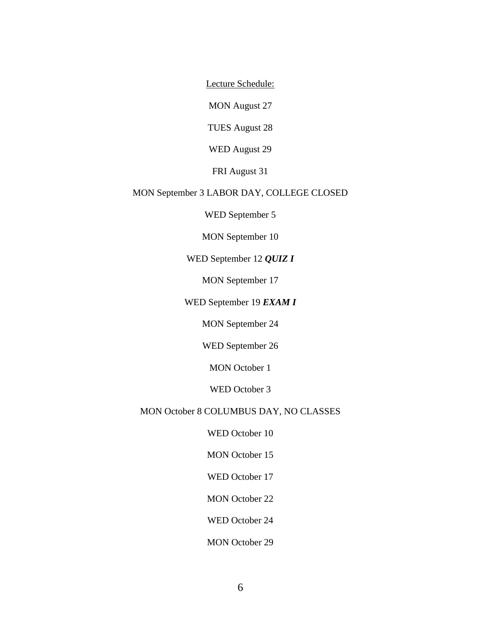Lecture Schedule:

MON August 27

TUES August 28

WED August 29

FRI August 31

# MON September 3 LABOR DAY, COLLEGE CLOSED

WED September 5

MON September 10

WED September 12 *QUIZ I*

MON September 17

WED September 19 *EXAM I*

MON September 24

WED September 26

MON October 1

WED October 3

MON October 8 COLUMBUS DAY, NO CLASSES

WED October 10

MON October 15

WED October 17

MON October 22

WED October 24

MON October 29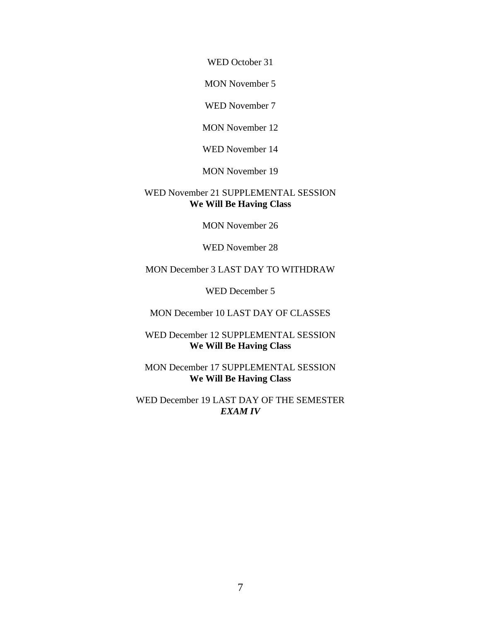WED October 31

MON November 5

WED November 7

MON November 12

WED November 14

MON November 19

## WED November 21 SUPPLEMENTAL SESSION **We Will Be Having Class**

MON November 26

WED November 28

MON December 3 LAST DAY TO WITHDRAW

WED December 5

MON December 10 LAST DAY OF CLASSES

WED December 12 SUPPLEMENTAL SESSION **We Will Be Having Class**

MON December 17 SUPPLEMENTAL SESSION **We Will Be Having Class**

WED December 19 LAST DAY OF THE SEMESTER *EXAM IV*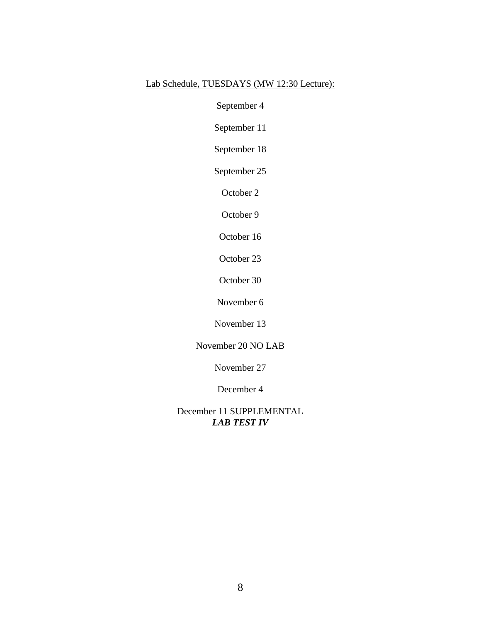# Lab Schedule, TUESDAYS (MW 12:30 Lecture):

September 4

September 11

September 18

September 25

October 2

October 9

October 16

October 23

October 30

November 6

November 13

## November 20 NO LAB

November 27

December 4

December 11 SUPPLEMENTAL *LAB TEST IV*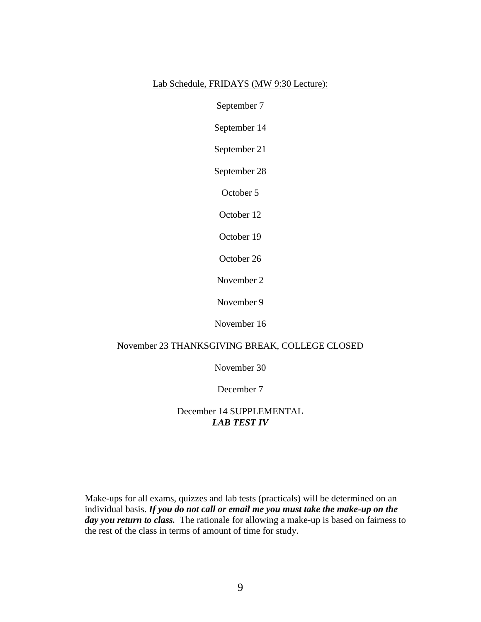#### Lab Schedule, FRIDAYS (MW 9:30 Lecture):

September 7

September 14

September 21

September 28

October 5

October 12

October 19

October 26

November 2

November 9

November 16

#### November 23 THANKSGIVING BREAK, COLLEGE CLOSED

November 30

December 7

December 14 SUPPLEMENTAL *LAB TEST IV*

Make-ups for all exams, quizzes and lab tests (practicals) will be determined on an individual basis. *If you do not call or email me you must take the make-up on the day you return to class.* The rationale for allowing a make-up is based on fairness to the rest of the class in terms of amount of time for study.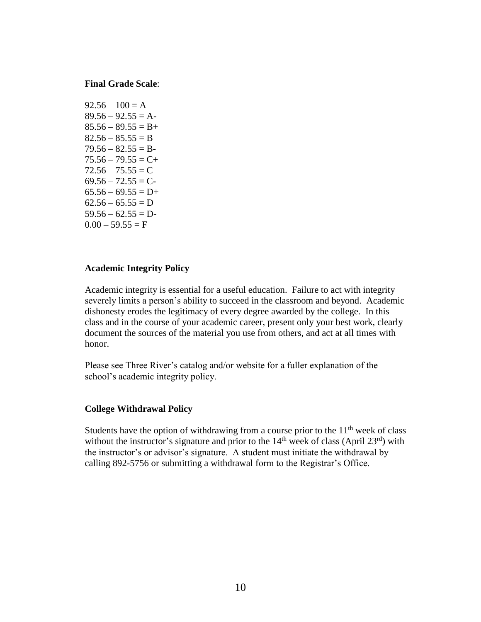#### **Final Grade Scale**:

 $92.56 - 100 = A$  $89.56 - 92.55 = A$  $85.56 - 89.55 = B +$  $82.56 - 85.55 = B$  $79.56 - 82.55 = B$  $75.56 - 79.55 = C +$  $72.56 - 75.55 = C$  $69.56 - 72.55 = C$  $65.56 - 69.55 = D+$  $62.56 - 65.55 = D$  $59.56 - 62.55 = D$  $0.00 - 59.55 = F$ 

#### **Academic Integrity Policy**

Academic integrity is essential for a useful education. Failure to act with integrity severely limits a person's ability to succeed in the classroom and beyond. Academic dishonesty erodes the legitimacy of every degree awarded by the college. In this class and in the course of your academic career, present only your best work, clearly document the sources of the material you use from others, and act at all times with honor.

Please see Three River's catalog and/or website for a fuller explanation of the school's academic integrity policy.

#### **College Withdrawal Policy**

Students have the option of withdrawing from a course prior to the  $11<sup>th</sup>$  week of class without the instructor's signature and prior to the  $14<sup>th</sup>$  week of class (April 23<sup>rd</sup>) with the instructor's or advisor's signature. A student must initiate the withdrawal by calling 892-5756 or submitting a withdrawal form to the Registrar's Office.